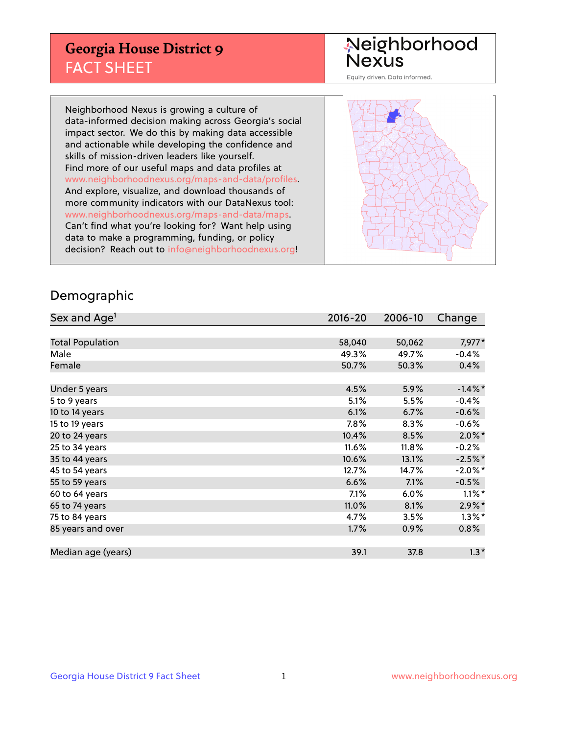## **Georgia House District 9** FACT SHEET

# Neighborhood<br>Nexus

Equity driven. Data informed.

Neighborhood Nexus is growing a culture of data-informed decision making across Georgia's social impact sector. We do this by making data accessible and actionable while developing the confidence and skills of mission-driven leaders like yourself. Find more of our useful maps and data profiles at www.neighborhoodnexus.org/maps-and-data/profiles. And explore, visualize, and download thousands of more community indicators with our DataNexus tool: www.neighborhoodnexus.org/maps-and-data/maps. Can't find what you're looking for? Want help using data to make a programming, funding, or policy decision? Reach out to [info@neighborhoodnexus.org!](mailto:info@neighborhoodnexus.org)



### Demographic

| Sex and Age <sup>1</sup> | $2016 - 20$ | 2006-10 | Change     |
|--------------------------|-------------|---------|------------|
|                          |             |         |            |
| <b>Total Population</b>  | 58,040      | 50,062  | 7,977*     |
| Male                     | 49.3%       | 49.7%   | $-0.4%$    |
| Female                   | 50.7%       | 50.3%   | 0.4%       |
|                          |             |         |            |
| Under 5 years            | 4.5%        | 5.9%    | $-1.4\%$ * |
| 5 to 9 years             | 5.1%        | 5.5%    | $-0.4%$    |
| 10 to 14 years           | 6.1%        | 6.7%    | $-0.6%$    |
| 15 to 19 years           | 7.8%        | 8.3%    | $-0.6%$    |
| 20 to 24 years           | 10.4%       | 8.5%    | $2.0\%$ *  |
| 25 to 34 years           | 11.6%       | 11.8%   | $-0.2%$    |
| 35 to 44 years           | 10.6%       | 13.1%   | $-2.5%$ *  |
| 45 to 54 years           | 12.7%       | 14.7%   | $-2.0\%$ * |
| 55 to 59 years           | 6.6%        | 7.1%    | $-0.5%$    |
| 60 to 64 years           | 7.1%        | 6.0%    | $1.1\%$ *  |
| 65 to 74 years           | 11.0%       | 8.1%    | $2.9\%$ *  |
| 75 to 84 years           | 4.7%        | 3.5%    | $1.3\%$ *  |
| 85 years and over        | 1.7%        | 0.9%    | 0.8%       |
|                          |             |         |            |
| Median age (years)       | 39.1        | 37.8    | $1.3*$     |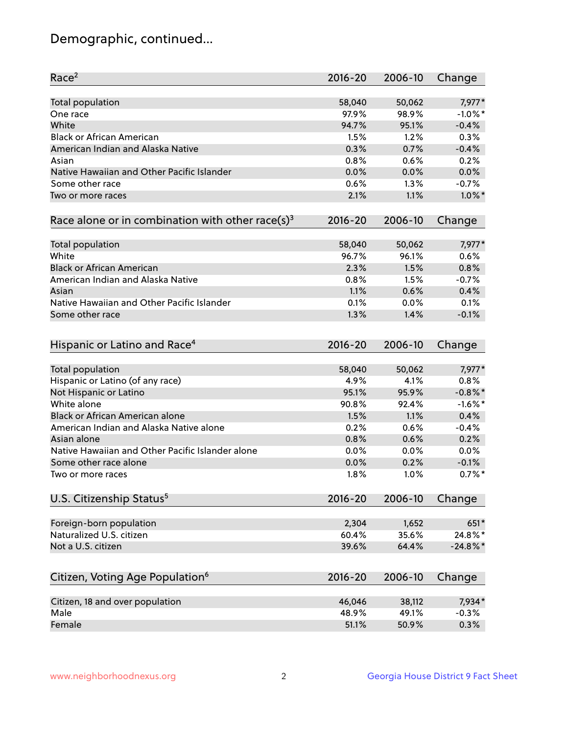## Demographic, continued...

| Race <sup>2</sup>                                            | $2016 - 20$ | 2006-10 | Change      |
|--------------------------------------------------------------|-------------|---------|-------------|
| <b>Total population</b>                                      | 58,040      | 50,062  | 7,977*      |
| One race                                                     | 97.9%       | 98.9%   | $-1.0\%$ *  |
| White                                                        | 94.7%       | 95.1%   | $-0.4%$     |
| <b>Black or African American</b>                             | 1.5%        | 1.2%    | 0.3%        |
| American Indian and Alaska Native                            | 0.3%        | 0.7%    | $-0.4%$     |
| Asian                                                        | 0.8%        | 0.6%    | 0.2%        |
| Native Hawaiian and Other Pacific Islander                   | 0.0%        | 0.0%    | 0.0%        |
| Some other race                                              | 0.6%        | 1.3%    | $-0.7%$     |
| Two or more races                                            | 2.1%        | 1.1%    | $1.0\%$ *   |
| Race alone or in combination with other race(s) <sup>3</sup> | $2016 - 20$ | 2006-10 | Change      |
| Total population                                             | 58,040      | 50,062  | 7,977*      |
| White                                                        | 96.7%       | 96.1%   | 0.6%        |
| <b>Black or African American</b>                             | 2.3%        | 1.5%    | 0.8%        |
| American Indian and Alaska Native                            | 0.8%        | 1.5%    | $-0.7%$     |
| Asian                                                        | 1.1%        | 0.6%    | 0.4%        |
| Native Hawaiian and Other Pacific Islander                   | 0.1%        | 0.0%    | 0.1%        |
| Some other race                                              | 1.3%        | 1.4%    | $-0.1%$     |
| Hispanic or Latino and Race <sup>4</sup>                     | $2016 - 20$ | 2006-10 | Change      |
| <b>Total population</b>                                      | 58,040      | 50,062  | 7,977*      |
| Hispanic or Latino (of any race)                             | 4.9%        | 4.1%    | 0.8%        |
| Not Hispanic or Latino                                       | 95.1%       | 95.9%   | $-0.8\%$ *  |
| White alone                                                  | 90.8%       | 92.4%   | $-1.6\%$ *  |
| Black or African American alone                              | 1.5%        | 1.1%    | 0.4%        |
| American Indian and Alaska Native alone                      | 0.2%        | 0.6%    | $-0.4%$     |
| Asian alone                                                  | 0.8%        | 0.6%    | 0.2%        |
| Native Hawaiian and Other Pacific Islander alone             | 0.0%        | 0.0%    | 0.0%        |
| Some other race alone                                        | 0.0%        | 0.2%    | $-0.1%$     |
| Two or more races                                            | 1.8%        | 1.0%    | $0.7\%$ *   |
| U.S. Citizenship Status <sup>5</sup>                         | $2016 - 20$ | 2006-10 | Change      |
|                                                              |             |         |             |
| Foreign-born population                                      | 2,304       | 1,652   | 651*        |
| Naturalized U.S. citizen                                     | 60.4%       | 35.6%   | 24.8%*      |
| Not a U.S. citizen                                           | 39.6%       | 64.4%   | $-24.8\%$ * |
| Citizen, Voting Age Population <sup>6</sup>                  | $2016 - 20$ | 2006-10 | Change      |
| Citizen, 18 and over population                              | 46,046      | 38,112  | 7,934*      |
| Male                                                         | 48.9%       | 49.1%   | $-0.3%$     |
| Female                                                       | 51.1%       | 50.9%   | 0.3%        |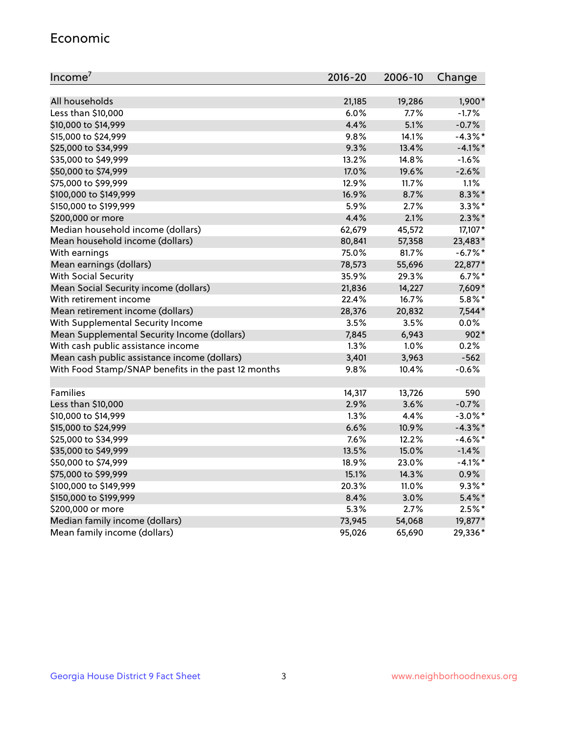#### Economic

| Income <sup>7</sup>                                 | $2016 - 20$ | 2006-10  | Change     |
|-----------------------------------------------------|-------------|----------|------------|
|                                                     |             |          |            |
| All households                                      | 21,185      | 19,286   | $1,900*$   |
| Less than \$10,000                                  | 6.0%        | 7.7%     | $-1.7%$    |
| \$10,000 to \$14,999                                | 4.4%        | 5.1%     | $-0.7%$    |
| \$15,000 to \$24,999                                | 9.8%        | 14.1%    | $-4.3\%$ * |
| \$25,000 to \$34,999                                | 9.3%        | 13.4%    | $-4.1\%$ * |
| \$35,000 to \$49,999                                | 13.2%       | 14.8%    | $-1.6%$    |
| \$50,000 to \$74,999                                | 17.0%       | 19.6%    | $-2.6%$    |
| \$75,000 to \$99,999                                | 12.9%       | 11.7%    | 1.1%       |
| \$100,000 to \$149,999                              | 16.9%       | 8.7%     | $8.3\%$ *  |
| \$150,000 to \$199,999                              | 5.9%        | 2.7%     | $3.3\%$ *  |
| \$200,000 or more                                   | 4.4%        | 2.1%     | $2.3\%$ *  |
| Median household income (dollars)                   | 62,679      | 45,572   | 17,107*    |
| Mean household income (dollars)                     | 80,841      | 57,358   | 23,483*    |
| With earnings                                       | 75.0%       | 81.7%    | $-6.7\%$ * |
| Mean earnings (dollars)                             | 78,573      | 55,696   | 22,877*    |
| <b>With Social Security</b>                         | 35.9%       | 29.3%    | $6.7%$ *   |
| Mean Social Security income (dollars)               | 21,836      | 14,227   | 7,609*     |
| With retirement income                              | 22.4%       | 16.7%    | $5.8\%$ *  |
| Mean retirement income (dollars)                    | 28,376      | 20,832   | 7,544*     |
| With Supplemental Security Income                   | 3.5%        | 3.5%     | 0.0%       |
| Mean Supplemental Security Income (dollars)         | 7,845       | 6,943    | $902*$     |
| With cash public assistance income                  | 1.3%        | $1.0\%$  | 0.2%       |
| Mean cash public assistance income (dollars)        | 3,401       | 3,963    | $-562$     |
| With Food Stamp/SNAP benefits in the past 12 months | 9.8%        | 10.4%    | $-0.6%$    |
|                                                     |             |          |            |
| Families                                            | 14,317      | 13,726   | 590        |
| Less than \$10,000                                  | 2.9%        | 3.6%     | $-0.7%$    |
| \$10,000 to \$14,999                                | 1.3%        | 4.4%     | $-3.0\%$ * |
| \$15,000 to \$24,999                                | 6.6%        | 10.9%    | $-4.3\%$ * |
| \$25,000 to \$34,999                                | 7.6%        | 12.2%    | $-4.6\%$ * |
| \$35,000 to \$49,999                                | 13.5%       | 15.0%    | $-1.4%$    |
| \$50,000 to \$74,999                                | 18.9%       | 23.0%    | $-4.1\%$ * |
| \$75,000 to \$99,999                                | 15.1%       | 14.3%    | 0.9%       |
| \$100,000 to \$149,999                              | 20.3%       | $11.0\%$ | $9.3\%$ *  |
| \$150,000 to \$199,999                              | 8.4%        | 3.0%     | $5.4\%$ *  |
| \$200,000 or more                                   | 5.3%        | 2.7%     | $2.5%$ *   |
| Median family income (dollars)                      | 73,945      | 54,068   | 19,877*    |
| Mean family income (dollars)                        | 95,026      | 65,690   | 29,336*    |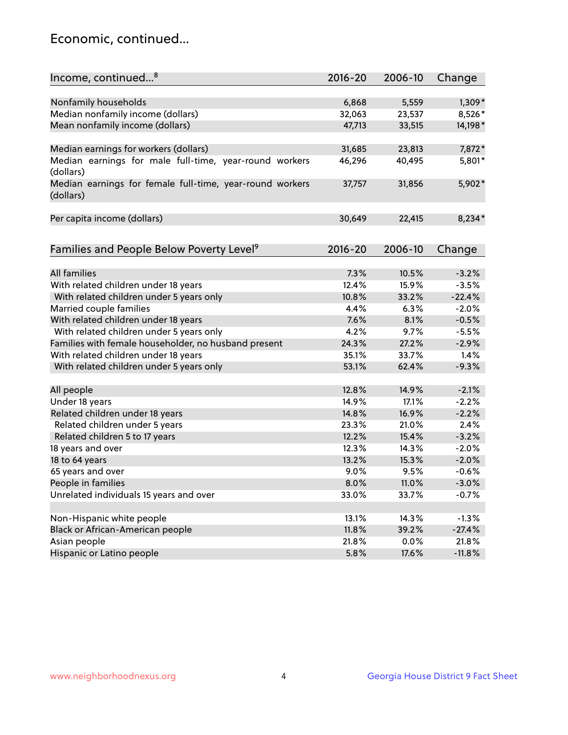## Economic, continued...

| Income, continued <sup>8</sup>                                        | $2016 - 20$ | 2006-10 | Change   |
|-----------------------------------------------------------------------|-------------|---------|----------|
|                                                                       |             |         |          |
| Nonfamily households                                                  | 6,868       | 5,559   | $1,309*$ |
| Median nonfamily income (dollars)                                     | 32,063      | 23,537  | 8,526*   |
| Mean nonfamily income (dollars)                                       | 47,713      | 33,515  | 14,198*  |
| Median earnings for workers (dollars)                                 | 31,685      | 23,813  | 7,872*   |
| Median earnings for male full-time, year-round workers                | 46,296      | 40,495  | 5,801*   |
| (dollars)                                                             |             |         |          |
| Median earnings for female full-time, year-round workers<br>(dollars) | 37,757      | 31,856  | 5,902*   |
| Per capita income (dollars)                                           | 30,649      | 22,415  | $8,234*$ |
|                                                                       |             |         |          |
| Families and People Below Poverty Level <sup>9</sup>                  | 2016-20     | 2006-10 | Change   |
|                                                                       |             |         |          |
| <b>All families</b>                                                   | 7.3%        | 10.5%   | $-3.2%$  |
| With related children under 18 years                                  | 12.4%       | 15.9%   | $-3.5%$  |
| With related children under 5 years only                              | 10.8%       | 33.2%   | $-22.4%$ |
| Married couple families                                               | 4.4%        | 6.3%    | $-2.0%$  |
| With related children under 18 years                                  | 7.6%        | 8.1%    | $-0.5%$  |
| With related children under 5 years only                              | 4.2%        | 9.7%    | $-5.5%$  |
| Families with female householder, no husband present                  | 24.3%       | 27.2%   | $-2.9%$  |
| With related children under 18 years                                  | 35.1%       | 33.7%   | 1.4%     |
| With related children under 5 years only                              | 53.1%       | 62.4%   | $-9.3%$  |
| All people                                                            | 12.8%       | 14.9%   | $-2.1%$  |
| Under 18 years                                                        | 14.9%       | 17.1%   | $-2.2%$  |
| Related children under 18 years                                       | 14.8%       | 16.9%   | $-2.2%$  |
| Related children under 5 years                                        | 23.3%       | 21.0%   | 2.4%     |
| Related children 5 to 17 years                                        | 12.2%       | 15.4%   | $-3.2%$  |
| 18 years and over                                                     | 12.3%       | 14.3%   | $-2.0%$  |
| 18 to 64 years                                                        | 13.2%       | 15.3%   | $-2.0%$  |
| 65 years and over                                                     | 9.0%        | 9.5%    | $-0.6%$  |
| People in families                                                    | 8.0%        | 11.0%   | $-3.0%$  |
| Unrelated individuals 15 years and over                               | 33.0%       | 33.7%   | $-0.7%$  |
|                                                                       |             |         |          |
| Non-Hispanic white people                                             | 13.1%       | 14.3%   | $-1.3%$  |
| Black or African-American people                                      | 11.8%       | 39.2%   | $-27.4%$ |
| Asian people                                                          | 21.8%       | 0.0%    | 21.8%    |
| Hispanic or Latino people                                             | 5.8%        | 17.6%   | $-11.8%$ |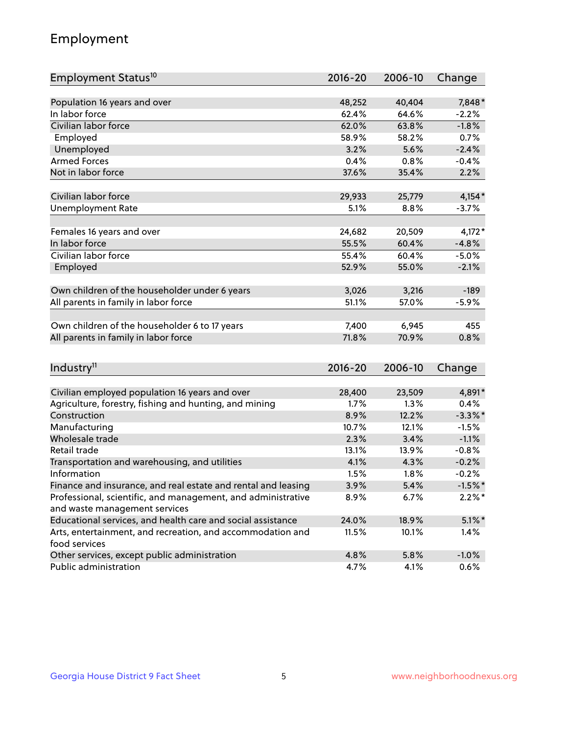## Employment

| Employment Status <sup>10</sup>                                             | $2016 - 20$ | 2006-10 | Change     |
|-----------------------------------------------------------------------------|-------------|---------|------------|
|                                                                             |             |         |            |
| Population 16 years and over                                                | 48,252      | 40,404  | 7,848*     |
| In labor force                                                              | 62.4%       | 64.6%   | $-2.2%$    |
| Civilian labor force                                                        | 62.0%       | 63.8%   | $-1.8%$    |
| Employed                                                                    | 58.9%       | 58.2%   | 0.7%       |
| Unemployed                                                                  | 3.2%        | 5.6%    | $-2.4%$    |
| <b>Armed Forces</b>                                                         | 0.4%        | 0.8%    | $-0.4%$    |
| Not in labor force                                                          | 37.6%       | 35.4%   | 2.2%       |
| Civilian labor force                                                        | 29,933      |         | $4,154*$   |
|                                                                             |             | 25,779  |            |
| <b>Unemployment Rate</b>                                                    | 5.1%        | 8.8%    | $-3.7%$    |
| Females 16 years and over                                                   | 24,682      | 20,509  | $4,172*$   |
| In labor force                                                              | 55.5%       | 60.4%   | $-4.8%$    |
| Civilian labor force                                                        | 55.4%       | 60.4%   | $-5.0%$    |
| Employed                                                                    | 52.9%       | 55.0%   | $-2.1%$    |
|                                                                             |             |         |            |
| Own children of the householder under 6 years                               | 3,026       | 3,216   | $-189$     |
| All parents in family in labor force                                        | 51.1%       | 57.0%   | $-5.9%$    |
|                                                                             |             |         |            |
| Own children of the householder 6 to 17 years                               | 7,400       | 6,945   | 455        |
| All parents in family in labor force                                        | 71.8%       | 70.9%   | 0.8%       |
|                                                                             |             |         |            |
| Industry <sup>11</sup>                                                      | $2016 - 20$ | 2006-10 | Change     |
|                                                                             |             |         |            |
| Civilian employed population 16 years and over                              | 28,400      | 23,509  | 4,891*     |
| Agriculture, forestry, fishing and hunting, and mining                      | 1.7%        | 1.3%    | 0.4%       |
| Construction                                                                | 8.9%        | 12.2%   | $-3.3\%$ * |
| Manufacturing                                                               | 10.7%       | 12.1%   | $-1.5%$    |
| Wholesale trade                                                             | 2.3%        | 3.4%    | $-1.1%$    |
| Retail trade                                                                | 13.1%       | 13.9%   | $-0.8%$    |
| Transportation and warehousing, and utilities                               | 4.1%        | 4.3%    | $-0.2%$    |
| Information                                                                 | 1.5%        | 1.8%    | $-0.2%$    |
| Finance and insurance, and real estate and rental and leasing               | 3.9%        | 5.4%    | $-1.5%$ *  |
| Professional, scientific, and management, and administrative                | 8.9%        | 6.7%    | $2.2\%$ *  |
| and waste management services                                               |             |         |            |
| Educational services, and health care and social assistance                 | 24.0%       | 18.9%   | $5.1\%$ *  |
| Arts, entertainment, and recreation, and accommodation and<br>food services | 11.5%       | 10.1%   | 1.4%       |
| Other services, except public administration                                | 4.8%        | 5.8%    | $-1.0%$    |
| Public administration                                                       | 4.7%        | 4.1%    | 0.6%       |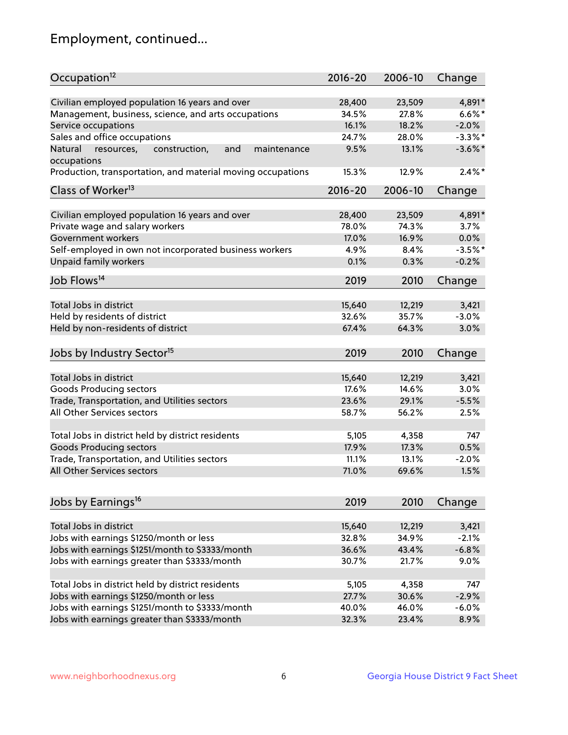## Employment, continued...

| Occupation <sup>12</sup>                                     | $2016 - 20$ | 2006-10 | Change     |
|--------------------------------------------------------------|-------------|---------|------------|
| Civilian employed population 16 years and over               | 28,400      | 23,509  | 4,891*     |
| Management, business, science, and arts occupations          | 34.5%       | 27.8%   | $6.6\%$ *  |
| Service occupations                                          | 16.1%       | 18.2%   | $-2.0%$    |
| Sales and office occupations                                 | 24.7%       | 28.0%   | $-3.3\%$ * |
| Natural<br>and<br>resources,<br>construction,<br>maintenance | 9.5%        | 13.1%   | $-3.6\%$ * |
| occupations                                                  |             |         |            |
| Production, transportation, and material moving occupations  | 15.3%       | 12.9%   | $2.4\%$ *  |
| Class of Worker <sup>13</sup>                                | $2016 - 20$ | 2006-10 | Change     |
|                                                              |             |         |            |
| Civilian employed population 16 years and over               | 28,400      | 23,509  | 4,891*     |
| Private wage and salary workers                              | 78.0%       | 74.3%   | 3.7%       |
| Government workers                                           | 17.0%       | 16.9%   | 0.0%       |
| Self-employed in own not incorporated business workers       | 4.9%        | 8.4%    | $-3.5%$ *  |
| <b>Unpaid family workers</b>                                 | 0.1%        | 0.3%    | $-0.2%$    |
| Job Flows <sup>14</sup>                                      | 2019        | 2010    | Change     |
|                                                              |             |         |            |
| Total Jobs in district                                       | 15,640      | 12,219  | 3,421      |
| Held by residents of district                                | 32.6%       | 35.7%   | $-3.0%$    |
| Held by non-residents of district                            | 67.4%       | 64.3%   | 3.0%       |
| Jobs by Industry Sector <sup>15</sup>                        | 2019        | 2010    | Change     |
|                                                              |             |         |            |
| Total Jobs in district                                       | 15,640      | 12,219  | 3,421      |
| Goods Producing sectors                                      | 17.6%       | 14.6%   | 3.0%       |
| Trade, Transportation, and Utilities sectors                 | 23.6%       | 29.1%   | $-5.5%$    |
| All Other Services sectors                                   | 58.7%       | 56.2%   | 2.5%       |
| Total Jobs in district held by district residents            | 5,105       | 4,358   | 747        |
| <b>Goods Producing sectors</b>                               | 17.9%       | 17.3%   | 0.5%       |
|                                                              |             |         |            |
| Trade, Transportation, and Utilities sectors                 | 11.1%       | 13.1%   | $-2.0%$    |
| All Other Services sectors                                   | 71.0%       | 69.6%   | 1.5%       |
| Jobs by Earnings <sup>16</sup>                               | 2019        | 2010    | Change     |
|                                                              |             |         |            |
| Total Jobs in district                                       | 15,640      | 12,219  | 3,421      |
| Jobs with earnings \$1250/month or less                      | 32.8%       | 34.9%   | $-2.1%$    |
| Jobs with earnings \$1251/month to \$3333/month              | 36.6%       | 43.4%   | $-6.8%$    |
| Jobs with earnings greater than \$3333/month                 | 30.7%       | 21.7%   | 9.0%       |
| Total Jobs in district held by district residents            | 5,105       | 4,358   | 747        |
| Jobs with earnings \$1250/month or less                      | 27.7%       | 30.6%   | $-2.9%$    |
| Jobs with earnings \$1251/month to \$3333/month              | 40.0%       | 46.0%   | $-6.0%$    |
| Jobs with earnings greater than \$3333/month                 | 32.3%       | 23.4%   | 8.9%       |
|                                                              |             |         |            |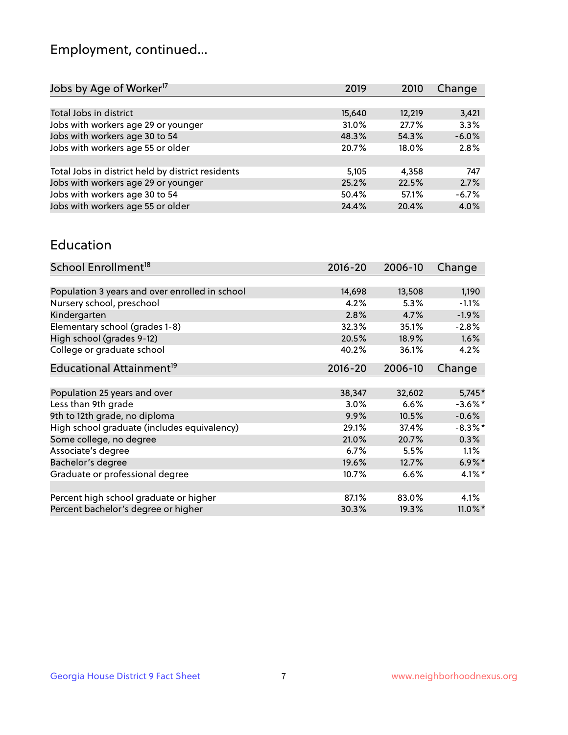## Employment, continued...

| Jobs by Age of Worker <sup>17</sup>               | 2019   | 2010   | Change  |
|---------------------------------------------------|--------|--------|---------|
|                                                   |        |        |         |
| Total Jobs in district                            | 15,640 | 12,219 | 3,421   |
| Jobs with workers age 29 or younger               | 31.0%  | 27.7%  | 3.3%    |
| Jobs with workers age 30 to 54                    | 48.3%  | 54.3%  | $-6.0%$ |
| Jobs with workers age 55 or older                 | 20.7%  | 18.0%  | 2.8%    |
|                                                   |        |        |         |
| Total Jobs in district held by district residents | 5,105  | 4,358  | 747     |
| Jobs with workers age 29 or younger               | 25.2%  | 22.5%  | 2.7%    |
| Jobs with workers age 30 to 54                    | 50.4%  | 57.1%  | $-6.7%$ |
| Jobs with workers age 55 or older                 | 24.4%  | 20.4%  | 4.0%    |

#### Education

| School Enrollment <sup>18</sup>                | $2016 - 20$ | 2006-10 | Change     |
|------------------------------------------------|-------------|---------|------------|
|                                                |             |         |            |
| Population 3 years and over enrolled in school | 14,698      | 13,508  | 1,190      |
| Nursery school, preschool                      | 4.2%        | 5.3%    | $-1.1%$    |
| Kindergarten                                   | 2.8%        | 4.7%    | $-1.9%$    |
| Elementary school (grades 1-8)                 | 32.3%       | 35.1%   | $-2.8%$    |
| High school (grades 9-12)                      | 20.5%       | 18.9%   | $1.6\%$    |
| College or graduate school                     | 40.2%       | 36.1%   | 4.2%       |
| Educational Attainment <sup>19</sup>           | $2016 - 20$ | 2006-10 | Change     |
|                                                |             |         |            |
| Population 25 years and over                   | 38,347      | 32,602  | 5,745*     |
| Less than 9th grade                            | 3.0%        | 6.6%    | $-3.6\%$ * |
| 9th to 12th grade, no diploma                  | 9.9%        | 10.5%   | $-0.6%$    |
| High school graduate (includes equivalency)    | 29.1%       | 37.4%   | $-8.3\%$ * |
| Some college, no degree                        | 21.0%       | 20.7%   | 0.3%       |
| Associate's degree                             | 6.7%        | 5.5%    | 1.1%       |
| Bachelor's degree                              | 19.6%       | 12.7%   | $6.9\%$ *  |
| Graduate or professional degree                | 10.7%       | 6.6%    | $4.1\%$ *  |
|                                                |             |         |            |
| Percent high school graduate or higher         | 87.1%       | 83.0%   | 4.1%       |
| Percent bachelor's degree or higher            | 30.3%       | 19.3%   | $11.0\%$ * |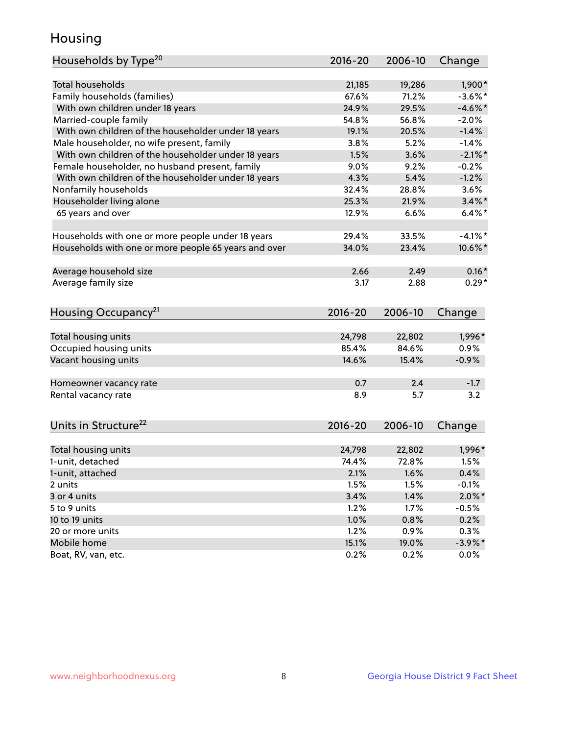## Housing

| Households by Type <sup>20</sup>                     | 2016-20 | 2006-10 | Change     |
|------------------------------------------------------|---------|---------|------------|
|                                                      |         |         |            |
| <b>Total households</b>                              | 21,185  | 19,286  | 1,900*     |
| Family households (families)                         | 67.6%   | 71.2%   | $-3.6\%$ * |
| With own children under 18 years                     | 24.9%   | 29.5%   | $-4.6\%$ * |
| Married-couple family                                | 54.8%   | 56.8%   | $-2.0%$    |
| With own children of the householder under 18 years  | 19.1%   | 20.5%   | $-1.4%$    |
| Male householder, no wife present, family            | 3.8%    | 5.2%    | $-1.4%$    |
| With own children of the householder under 18 years  | 1.5%    | 3.6%    | $-2.1\%$ * |
| Female householder, no husband present, family       | 9.0%    | 9.2%    | $-0.2%$    |
| With own children of the householder under 18 years  | 4.3%    | 5.4%    | $-1.2%$    |
| Nonfamily households                                 | 32.4%   | 28.8%   | 3.6%       |
| Householder living alone                             | 25.3%   | 21.9%   | $3.4\%$ *  |
| 65 years and over                                    | 12.9%   | 6.6%    | $6.4\%$ *  |
|                                                      |         |         |            |
| Households with one or more people under 18 years    | 29.4%   | 33.5%   | $-4.1%$ *  |
| Households with one or more people 65 years and over | 34.0%   | 23.4%   | 10.6%*     |
|                                                      |         |         |            |
| Average household size                               | 2.66    | 2.49    | $0.16*$    |
| Average family size                                  | 3.17    | 2.88    | $0.29*$    |
| Housing Occupancy <sup>21</sup>                      | 2016-20 | 2006-10 | Change     |
|                                                      |         |         |            |
| Total housing units                                  | 24,798  | 22,802  | 1,996*     |
| Occupied housing units                               | 85.4%   | 84.6%   | 0.9%       |
| Vacant housing units                                 | 14.6%   | 15.4%   | $-0.9%$    |
|                                                      |         |         |            |
| Homeowner vacancy rate                               | 0.7     | 2.4     | $-1.7$     |
| Rental vacancy rate                                  | 8.9     | 5.7     | 3.2        |
|                                                      |         |         |            |
| Units in Structure <sup>22</sup>                     | 2016-20 | 2006-10 | Change     |
| Total housing units                                  | 24,798  | 22,802  | 1,996*     |
| 1-unit, detached                                     | 74.4%   | 72.8%   | 1.5%       |
| 1-unit, attached                                     | 2.1%    | 1.6%    | 0.4%       |
| 2 units                                              | 1.5%    | 1.5%    | $-0.1%$    |
| 3 or 4 units                                         | 3.4%    | 1.4%    | $2.0\%$ *  |
| 5 to 9 units                                         | 1.2%    | 1.7%    | $-0.5%$    |
| 10 to 19 units                                       | 1.0%    | 0.8%    | 0.2%       |
| 20 or more units                                     | 1.2%    | 0.9%    | 0.3%       |
| Mobile home                                          | 15.1%   | 19.0%   | $-3.9\%$ * |
|                                                      |         |         | 0.0%       |
| Boat, RV, van, etc.                                  | 0.2%    | 0.2%    |            |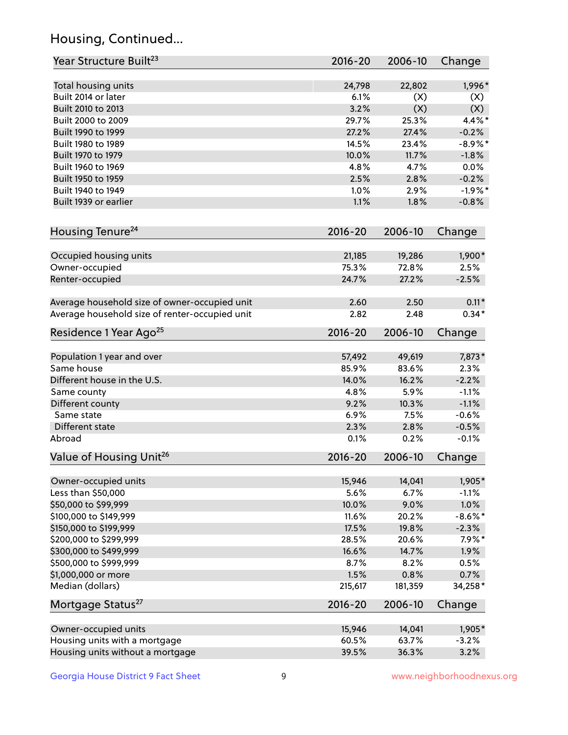## Housing, Continued...

| Year Structure Built <sup>23</sup>             | 2016-20        | 2006-10        | Change            |
|------------------------------------------------|----------------|----------------|-------------------|
| Total housing units                            | 24,798         | 22,802         | 1,996*            |
| Built 2014 or later                            | 6.1%           | (X)            | (X)               |
| Built 2010 to 2013                             | 3.2%           | (X)            | (X)               |
| Built 2000 to 2009                             | 29.7%          | 25.3%          | 4.4%*             |
| Built 1990 to 1999                             | 27.2%          | 27.4%          | $-0.2%$           |
| Built 1980 to 1989                             | 14.5%          | 23.4%          | $-8.9\%$ *        |
| Built 1970 to 1979                             | 10.0%          | 11.7%          | $-1.8%$           |
| Built 1960 to 1969                             | 4.8%           | 4.7%           | 0.0%              |
| Built 1950 to 1959                             | 2.5%           | 2.8%           | $-0.2%$           |
| Built 1940 to 1949                             | 1.0%           | 2.9%           | $-1.9%$ *         |
| Built 1939 or earlier                          | 1.1%           | 1.8%           | $-0.8%$           |
|                                                |                |                |                   |
| Housing Tenure <sup>24</sup>                   | 2016-20        | 2006-10        | Change            |
| Occupied housing units                         | 21,185         | 19,286         | 1,900*            |
| Owner-occupied                                 | 75.3%          | 72.8%          | 2.5%              |
| Renter-occupied                                | 24.7%          | 27.2%          | $-2.5%$           |
| Average household size of owner-occupied unit  | 2.60           | 2.50           | $0.11*$           |
| Average household size of renter-occupied unit | 2.82           | 2.48           | $0.34*$           |
| Residence 1 Year Ago <sup>25</sup>             | 2016-20        | 2006-10        | Change            |
| Population 1 year and over                     | 57,492         | 49,619         | 7,873*            |
| Same house                                     | 85.9%          | 83.6%          | 2.3%              |
| Different house in the U.S.                    | 14.0%          | 16.2%          | $-2.2%$           |
| Same county                                    | 4.8%           | 5.9%           | $-1.1%$           |
| Different county                               | 9.2%           | 10.3%          | $-1.1%$           |
| Same state                                     | 6.9%           | 7.5%           | $-0.6%$           |
| Different state                                | 2.3%           | 2.8%           | $-0.5%$           |
| Abroad                                         | 0.1%           | 0.2%           | $-0.1%$           |
| Value of Housing Unit <sup>26</sup>            | $2016 - 20$    | 2006-10        | Change            |
| Owner-occupied units                           |                |                |                   |
| Less than \$50,000                             | 15,946<br>5.6% | 14,041<br>6.7% | 1,905*<br>$-1.1%$ |
| \$50,000 to \$99,999                           | 10.0%          | 9.0%           | 1.0%              |
| \$100,000 to \$149,999                         | 11.6%          | 20.2%          | $-8.6\%$ *        |
| \$150,000 to \$199,999                         | 17.5%          | 19.8%          | $-2.3%$           |
| \$200,000 to \$299,999                         | 28.5%          | 20.6%          | $7.9\%$ *         |
| \$300,000 to \$499,999                         | 16.6%          | 14.7%          | 1.9%              |
| \$500,000 to \$999,999                         | 8.7%           | 8.2%           | 0.5%              |
| \$1,000,000 or more                            | 1.5%           | 0.8%           | 0.7%              |
| Median (dollars)                               | 215,617        | 181,359        | 34,258*           |
| Mortgage Status <sup>27</sup>                  | $2016 - 20$    | 2006-10        | Change            |
|                                                |                |                |                   |
| Owner-occupied units                           | 15,946         | 14,041         | 1,905*            |
| Housing units with a mortgage                  | 60.5%          | 63.7%          | $-3.2%$           |
| Housing units without a mortgage               | 39.5%          | 36.3%          | 3.2%              |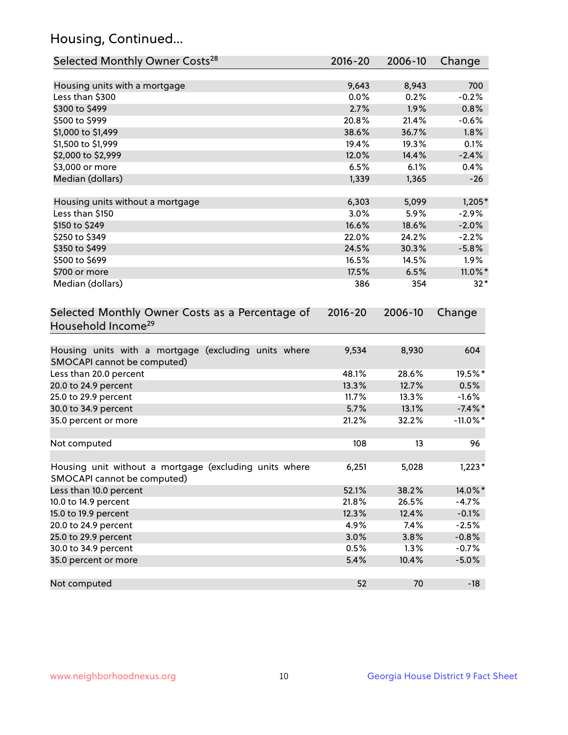## Housing, Continued...

| Selected Monthly Owner Costs <sup>28</sup>                                            | 2016-20     | 2006-10 | Change      |
|---------------------------------------------------------------------------------------|-------------|---------|-------------|
| Housing units with a mortgage                                                         | 9,643       | 8,943   | 700         |
| Less than \$300                                                                       | 0.0%        | 0.2%    | $-0.2%$     |
| \$300 to \$499                                                                        | 2.7%        | 1.9%    | 0.8%        |
| \$500 to \$999                                                                        | 20.8%       | 21.4%   | $-0.6%$     |
| \$1,000 to \$1,499                                                                    | 38.6%       | 36.7%   | 1.8%        |
| \$1,500 to \$1,999                                                                    | 19.4%       | 19.3%   | 0.1%        |
| \$2,000 to \$2,999                                                                    | 12.0%       | 14.4%   | $-2.4%$     |
| \$3,000 or more                                                                       | 6.5%        | 6.1%    | 0.4%        |
| Median (dollars)                                                                      | 1,339       | 1,365   | $-26$       |
|                                                                                       |             |         |             |
| Housing units without a mortgage                                                      | 6,303       | 5,099   | $1,205*$    |
| Less than \$150                                                                       | 3.0%        | 5.9%    | $-2.9%$     |
| \$150 to \$249                                                                        | 16.6%       | 18.6%   | $-2.0%$     |
| \$250 to \$349                                                                        | 22.0%       | 24.2%   | $-2.2%$     |
| \$350 to \$499                                                                        | 24.5%       | 30.3%   | $-5.8%$     |
| \$500 to \$699                                                                        | 16.5%       | 14.5%   | 1.9%        |
| \$700 or more                                                                         | 17.5%       | 6.5%    | 11.0%*      |
| Median (dollars)                                                                      | 386         | 354     | $32*$       |
| Selected Monthly Owner Costs as a Percentage of<br>Household Income <sup>29</sup>     | $2016 - 20$ | 2006-10 | Change      |
| Housing units with a mortgage (excluding units where<br>SMOCAPI cannot be computed)   | 9,534       | 8,930   | 604         |
| Less than 20.0 percent                                                                | 48.1%       | 28.6%   | 19.5%*      |
| 20.0 to 24.9 percent                                                                  | 13.3%       | 12.7%   | 0.5%        |
| 25.0 to 29.9 percent                                                                  | 11.7%       | 13.3%   | $-1.6%$     |
| 30.0 to 34.9 percent                                                                  | 5.7%        | 13.1%   | $-7.4\%$ *  |
| 35.0 percent or more                                                                  | 21.2%       | 32.2%   | $-11.0\%$ * |
| Not computed                                                                          | 108         | 13      | 96          |
| Housing unit without a mortgage (excluding units where<br>SMOCAPI cannot be computed) | 6,251       | 5,028   | $1,223*$    |
| Less than 10.0 percent                                                                | 52.1%       | 38.2%   | 14.0%*      |
| 10.0 to 14.9 percent                                                                  | 21.8%       | 26.5%   | $-4.7%$     |
| 15.0 to 19.9 percent                                                                  | 12.3%       | 12.4%   | $-0.1%$     |
| 20.0 to 24.9 percent                                                                  | 4.9%        | 7.4%    | $-2.5%$     |
| 25.0 to 29.9 percent                                                                  | 3.0%        | 3.8%    | $-0.8%$     |
| 30.0 to 34.9 percent                                                                  | 0.5%        | 1.3%    | $-0.7%$     |
| 35.0 percent or more                                                                  | 5.4%        | 10.4%   | $-5.0%$     |
| Not computed                                                                          | 52          | 70      | $-18$       |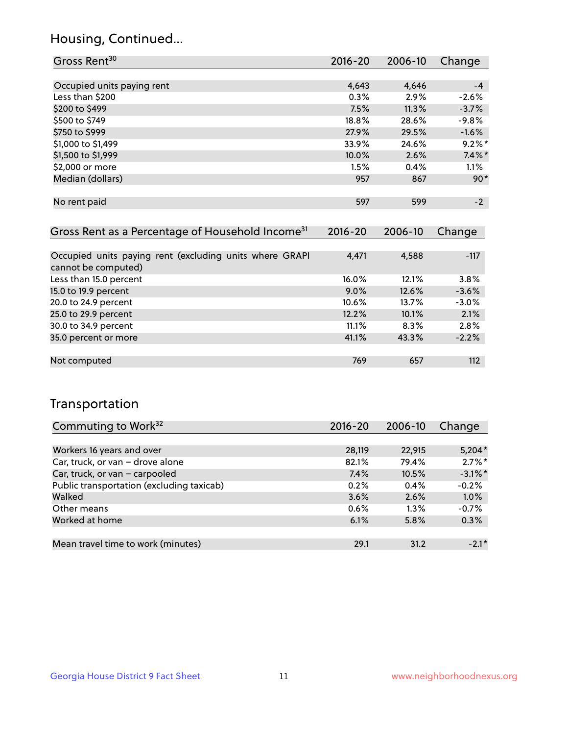## Housing, Continued...

| Gross Rent <sup>30</sup>   | 2016-20 | 2006-10 | Change    |
|----------------------------|---------|---------|-----------|
|                            |         |         |           |
| Occupied units paying rent | 4,643   | 4,646   | $-4$      |
| Less than \$200            | 0.3%    | 2.9%    | $-2.6%$   |
| \$200 to \$499             | 7.5%    | 11.3%   | $-3.7%$   |
| \$500 to \$749             | 18.8%   | 28.6%   | $-9.8%$   |
| \$750 to \$999             | 27.9%   | 29.5%   | $-1.6%$   |
| \$1,000 to \$1,499         | 33.9%   | 24.6%   | $9.2\%$ * |
| \$1,500 to \$1,999         | 10.0%   | 2.6%    | $7.4\%$ * |
| \$2,000 or more            | 1.5%    | 0.4%    | 1.1%      |
| Median (dollars)           | 957     | 867     | $90*$     |
|                            |         |         |           |
| No rent paid               | 597     | 599     | $-2$      |

| Gross Rent as a Percentage of Household Income <sup>31</sup>                   | $2016 - 20$ | 2006-10 | Change  |
|--------------------------------------------------------------------------------|-------------|---------|---------|
|                                                                                |             |         |         |
| Occupied units paying rent (excluding units where GRAPI<br>cannot be computed) | 4,471       | 4,588   | $-117$  |
| Less than 15.0 percent                                                         | 16.0%       | 12.1%   | 3.8%    |
| 15.0 to 19.9 percent                                                           | $9.0\%$     | 12.6%   | $-3.6%$ |
| 20.0 to 24.9 percent                                                           | 10.6%       | 13.7%   | $-3.0%$ |
| 25.0 to 29.9 percent                                                           | 12.2%       | 10.1%   | 2.1%    |
| 30.0 to 34.9 percent                                                           | 11.1%       | 8.3%    | 2.8%    |
| 35.0 percent or more                                                           | 41.1%       | 43.3%   | $-2.2%$ |
|                                                                                |             |         |         |
| Not computed                                                                   | 769         | 657     | 112     |

## Transportation

| Commuting to Work <sup>32</sup>           | 2016-20 | 2006-10 | Change     |
|-------------------------------------------|---------|---------|------------|
|                                           |         |         |            |
| Workers 16 years and over                 | 28,119  | 22,915  | $5,204*$   |
| Car, truck, or van - drove alone          | 82.1%   | 79.4%   | $2.7\%$ *  |
| Car, truck, or van - carpooled            | 7.4%    | 10.5%   | $-3.1\%$ * |
| Public transportation (excluding taxicab) | 0.2%    | 0.4%    | $-0.2%$    |
| Walked                                    | 3.6%    | 2.6%    | 1.0%       |
| Other means                               | $0.6\%$ | $1.3\%$ | $-0.7%$    |
| Worked at home                            | 6.1%    | 5.8%    | 0.3%       |
|                                           |         |         |            |
| Mean travel time to work (minutes)        | 29.1    | 31.2    | $-2.1*$    |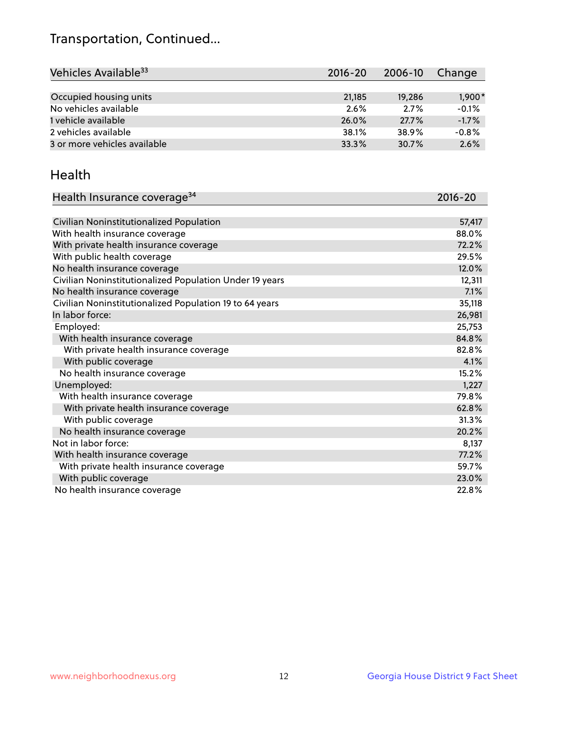## Transportation, Continued...

| Vehicles Available <sup>33</sup> | $2016 - 20$ | 2006-10 | Change   |
|----------------------------------|-------------|---------|----------|
|                                  |             |         |          |
| Occupied housing units           | 21,185      | 19.286  | $1,900*$ |
| No vehicles available            | 2.6%        | 2.7%    | $-0.1%$  |
| 1 vehicle available              | 26.0%       | 27.7%   | $-1.7%$  |
| 2 vehicles available             | 38.1%       | 38.9%   | $-0.8%$  |
| 3 or more vehicles available     | 33.3%       | 30.7%   | 2.6%     |

#### Health

| Health Insurance coverage <sup>34</sup>                 | 2016-20 |
|---------------------------------------------------------|---------|
|                                                         |         |
| Civilian Noninstitutionalized Population                | 57,417  |
| With health insurance coverage                          | 88.0%   |
| With private health insurance coverage                  | 72.2%   |
| With public health coverage                             | 29.5%   |
| No health insurance coverage                            | 12.0%   |
| Civilian Noninstitutionalized Population Under 19 years | 12,311  |
| No health insurance coverage                            | 7.1%    |
| Civilian Noninstitutionalized Population 19 to 64 years | 35,118  |
| In labor force:                                         | 26,981  |
| Employed:                                               | 25,753  |
| With health insurance coverage                          | 84.8%   |
| With private health insurance coverage                  | 82.8%   |
| With public coverage                                    | 4.1%    |
| No health insurance coverage                            | 15.2%   |
| Unemployed:                                             | 1,227   |
| With health insurance coverage                          | 79.8%   |
| With private health insurance coverage                  | 62.8%   |
| With public coverage                                    | 31.3%   |
| No health insurance coverage                            | 20.2%   |
| Not in labor force:                                     | 8,137   |
| With health insurance coverage                          | 77.2%   |
| With private health insurance coverage                  | 59.7%   |
| With public coverage                                    | 23.0%   |
| No health insurance coverage                            | 22.8%   |